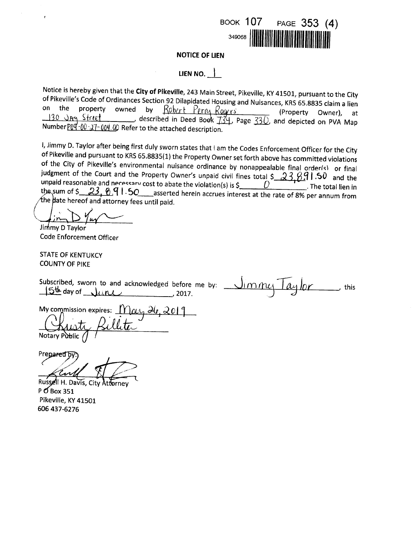

### **NOTICE OF LIEN**

## LIEN NO.  $\vert$

Notice is hereby given that the City of Pikeville, 243 Main Street, Pikeville, KY 41501, pursuant to the City of Pikeville's Code of Ordinances Section 92 Dilapidated Housing and Nuisances, KRS 65.8835 claim a lien on the property owned by Robert Perry Rogers (Property Owner), at 130 Jay Street described in Deed Bock  $734$ , Page  $330$ , and depicted on PVA Map Number P09-00-27-004.00 Refer to the attached description.

I, Jimmy D. Taylor after being first duly sworn states that I am the Codes Enforcement Officer for the City of Pikeville and pursuant to KRS 65.8835(1) the Property Owner set forth above has committed violations of the City of Pikeville's environmental nuisance ordinance by nonappealable final order(s) or final judgment of the Court and the Property Owner's unpaid civil fines total  $\frac{23.891.50}{ }$  and the unpaid reasonable and necessary cost to abate the violation(s) is \$ D . The total lien in the sum of  $\frac{236691.50}{...}$  asserted herein accrues interest at the rate of 8% per annum from the date hereof and attorney fees until paid.

Jimmy D Taylor **Code Enforcement Officer** 

**STATE OF KENTUKCY COUNTY OF PIKE** 

this

My commission expires:  $May \frac{\partial (q, 2019)}{\partial q}$ 

Prepared b

Russell H. Davis, City Attorney  $P$  O Box 351 Pikeville, KY 41501 606 437-6276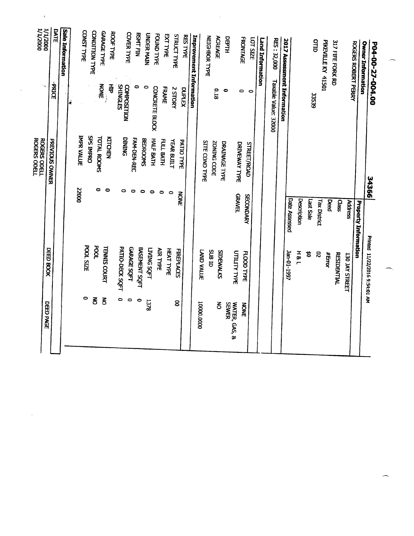| <b>000Z/T/T</b><br><b>DOOZ/T/T</b>         | DATE           | Sale Information |     | <b>CONST TYPE</b> |                  | CONDITION TYPE          | <b>GARAGE TYPE</b>  | <b>ROOF TYPE</b> |                                       | <b>COVER TYPE</b>  | <b>BSMT FIN</b>      | <b>UNDER MAIN</b> | FOUND TYPE      | <b>EXTTYPE</b> | <b>STRUCT TYPE</b> | <b>RES TYPE</b> | Improvement Information |                       | <b>NEIGHBOR TYPE</b> | <b>ACREAGE</b>   | DEPTH                |                     | <b>FRONTAGE</b>    | LOT SIZE | Land Information | <b>RES: 32,000</b>   |                             |               |                |              | OTTD                       | <b>PIKEVILLE KY 41501</b> | 317 FIFE FORK RD   |                | <b>ROGERS ROBERT PERRY</b>  | <b>Owner Information</b>      | P04-00-27-004.00 |
|--------------------------------------------|----------------|------------------|-----|-------------------|------------------|-------------------------|---------------------|------------------|---------------------------------------|--------------------|----------------------|-------------------|-----------------|----------------|--------------------|-----------------|-------------------------|-----------------------|----------------------|------------------|----------------------|---------------------|--------------------|----------|------------------|----------------------|-----------------------------|---------------|----------------|--------------|----------------------------|---------------------------|--------------------|----------------|-----------------------------|-------------------------------|------------------|
| $\mathcal{C}_{\mathbf{S}}$                 | <b>PRICE</b>   |                  | la, |                   |                  |                         | NONE                | 품                | <b>SHINGLES</b><br><b>COMPOSITION</b> |                    | 0                    | 0                 | CONCRETE BLOCK  | FRAME          | 2 STORY            | <b>DUPLEX</b>   |                         |                       |                      | 0.18             | $\bullet$            |                     | $\bullet$          | $\circ$  |                  | Taxable Value: 32000 | 2017 Assessment Information |               |                | <b>33539</b> |                            |                           |                    |                |                             |                               |                  |
| <b>ROGERS ODELL</b><br><b>ROGERS ODELL</b> | PREVIOUS OWNER |                  |     | <b>IMPR VALUE</b> | <b>OddWI SdS</b> | <b>TOTAL ROOMS</b><br>0 | $\bullet$           | KITCHEN          | DINING<br>0                           | FAM-DEN-REC        | <b>BEDROOMS</b>      |                   | HALF BATH       | FULL BATH      | YEAR BUILT         | PATIO TYPE      |                         | <b>SITE COND TYPE</b> |                      | ZONING CODE      | <b>DRAINAGE TYPE</b> | DRIVEWAY TYPE       | <b>STREET/ROAD</b> |          |                  |                      |                             |               |                |              |                            |                           |                    |                |                             |                               | 34366            |
|                                            |                |                  |     | 22000             |                  |                         |                     |                  |                                       |                    | 0                    | $\bullet$         | 0               |                | 0                  | <b>NOWE</b>     |                         |                       |                      |                  |                      | <b>GRAVEL</b>       | SECONDARY          |          |                  |                      |                             | Date Assessed | Description    | Last Sale    | Tax District               | Deed                      | Class              | <b>Address</b> | <b>Property Information</b> |                               |                  |
|                                            | DEED BOOK      |                  |     |                   | <b>POOL SIZE</b> | <b>TOOd</b>             | <b>TENNIS COURT</b> |                  | PATIO-DECK SQFT                       | <b>GARAGE SOFT</b> | <b>BASEMENT SQFT</b> | <b>LYING SQFT</b> | <b>AIR TYPE</b> | HEAT TYPE      | <b>FIREPLACES</b>  |                 |                         | LAND VALUE            | <b>CIT BUS</b>       | <b>SIDEWALKS</b> |                      | <b>UTILITY TYPE</b> | <b>FLOOD TYPE</b>  |          |                  |                      |                             | Jan-01-1997   | <b>H&amp;L</b> | 笤            | $\boldsymbol{\mathcal{S}}$ | #Error                    | <b>RESIDENTIAL</b> | 130 JAY STREET |                             | Printed 11/22/2016 9:54:01 AM |                  |
| DEED PAGE                                  |                |                  |     |                   | $\bullet$        | $\overline{5}$          | $\delta$            |                  | 0                                     | $\circ$            | $\bullet$            | 1378              |                 |                | 8                  |                 |                         | 0000'0001             |                      | δ                | <b>SEWER</b>         | WATER, GAS, &       | <b>NONE</b>        |          |                  |                      |                             |               |                |              |                            |                           |                    |                |                             |                               |                  |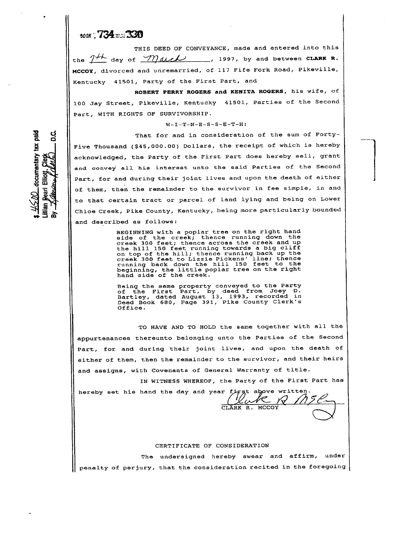# 10ax - 734 - 330

rV tl\*. n. c

\*

 $\geq$ ra<br>E <del>C</del> ភូមិ<br>ស្ពា  $\ddot{\cdot}$ **Mag** c  $\frac{1}{2}$  $\frac{1}{2}$  $\frac{1}{2}$ 

THIS DEED OF CONVEYANCE, made and entered into this the  $7^{+\prime}$  day of  $Mack$  , 1997, by and between CLARK R. MCCOY, divorced and unremarried, of 117 Fife Fork Road, Pikeville, Kentucky 41501, Party of the First Part, and

ROBERT PERRY ROGERS and KENITA ROGERS, his wife, of 100 Jay Street, Pikeville, Kentucky 41501, Parties of the Second Part, WITH RIGHTS OF SURVIVORSHIP.

#### $W-I-T-N-E-S-S-E-T-H$ :

That for and in consideration of the sum of Forty-Five Thousand (\$45,000.00) Dollars, the receipt of which is hereby acknowledged, the Party of the First Part does hereby sell, grant and convey all his interest unto the said Parties of the Second Part, for and during their joint lives and upon the death of either of them, then the remainder to the survivor in fee simple, in and to that certain tract or parcel of land lying and being on Lowex Chloe Creek, Pike County, Kentucky, being more particularly bounded and described as follows:

 $\frac{1}{2}$ 

BEGINNING with a poplar tree on the right hand side of the creek; thence running down the creek 300 feet; thence across the creek and up the hill 15O feet running towards a biq cliff on top of the hill; thence running back up the creek 3OO feet to Lizzie Pickens' line; thence running back down the hill 1B0 feet to the running back down the nife for root of the hand side of the creek.

Beîng the seme property conveyed to the Party of the First Part, by deed from Joey D.<br>Bartley, dated August 13, 1993, recorded in<br>Deed Book 680, Page 391, Pike County Clerk's Office.

TO HAVE AND TO HOLD the same Eogether wtth all the appurtenances thereunto belonging unto the Parties of the Second Part, for and during their joint lives, and upon the death of either of them, then the remainder to the survivor, and their heirs and assigns, with Covenants of General Warranty of title.

IN WITNESS WHEREOF, the Party of the First Part has

CLARK R. MCCOY

hereby set his hand the day and year first above written. YP.

#### CERTIFICATE OF CONSIDERATION

The undersigned hereby swear and affirm, under penalty of perjury, that the consideration recited in the foregoing